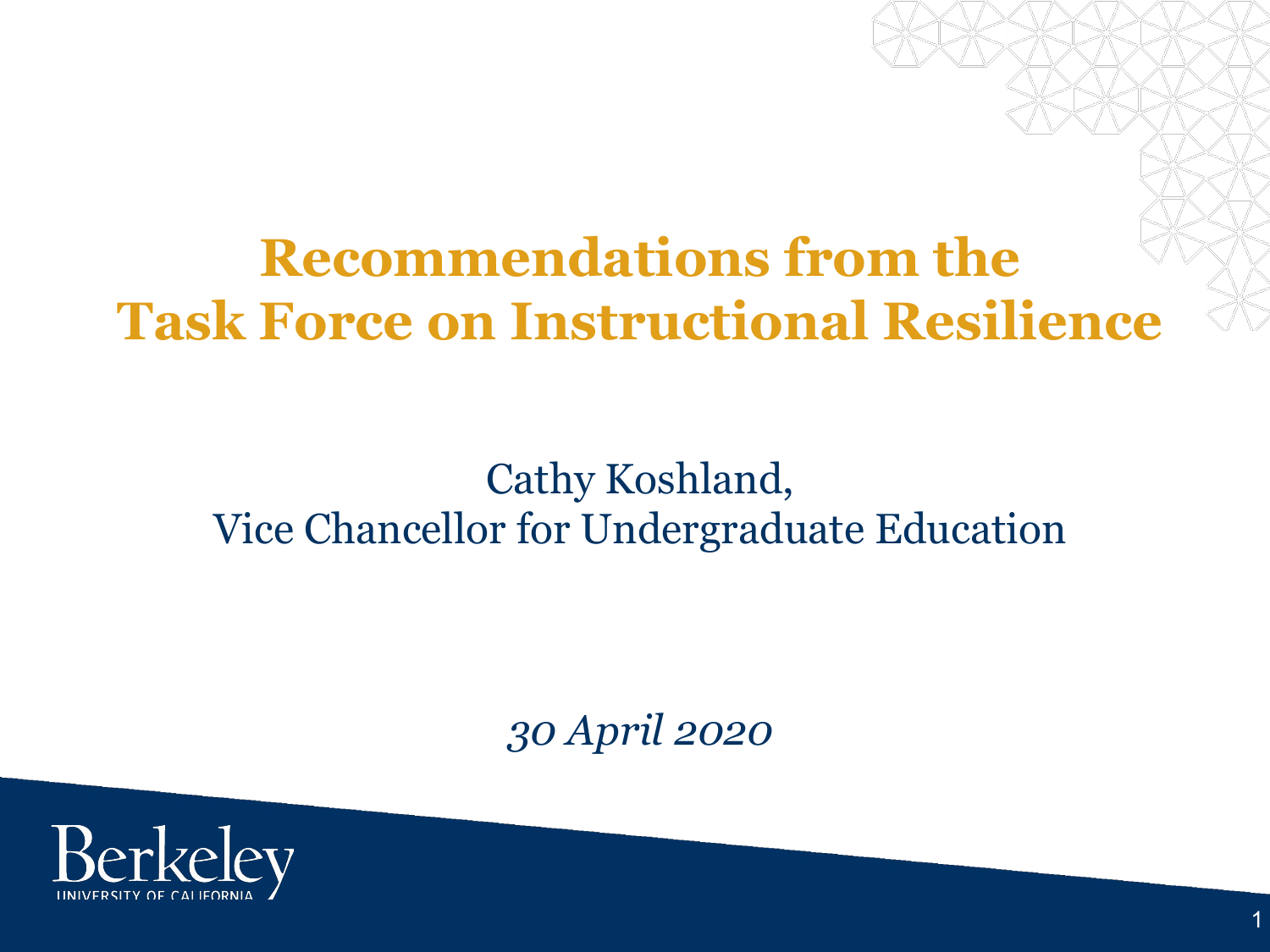## **Recommendations from the Task Force on Instructional Resilience**

## Cathy Koshland, Vice Chancellor for Undergraduate Education

*30 April 2020*

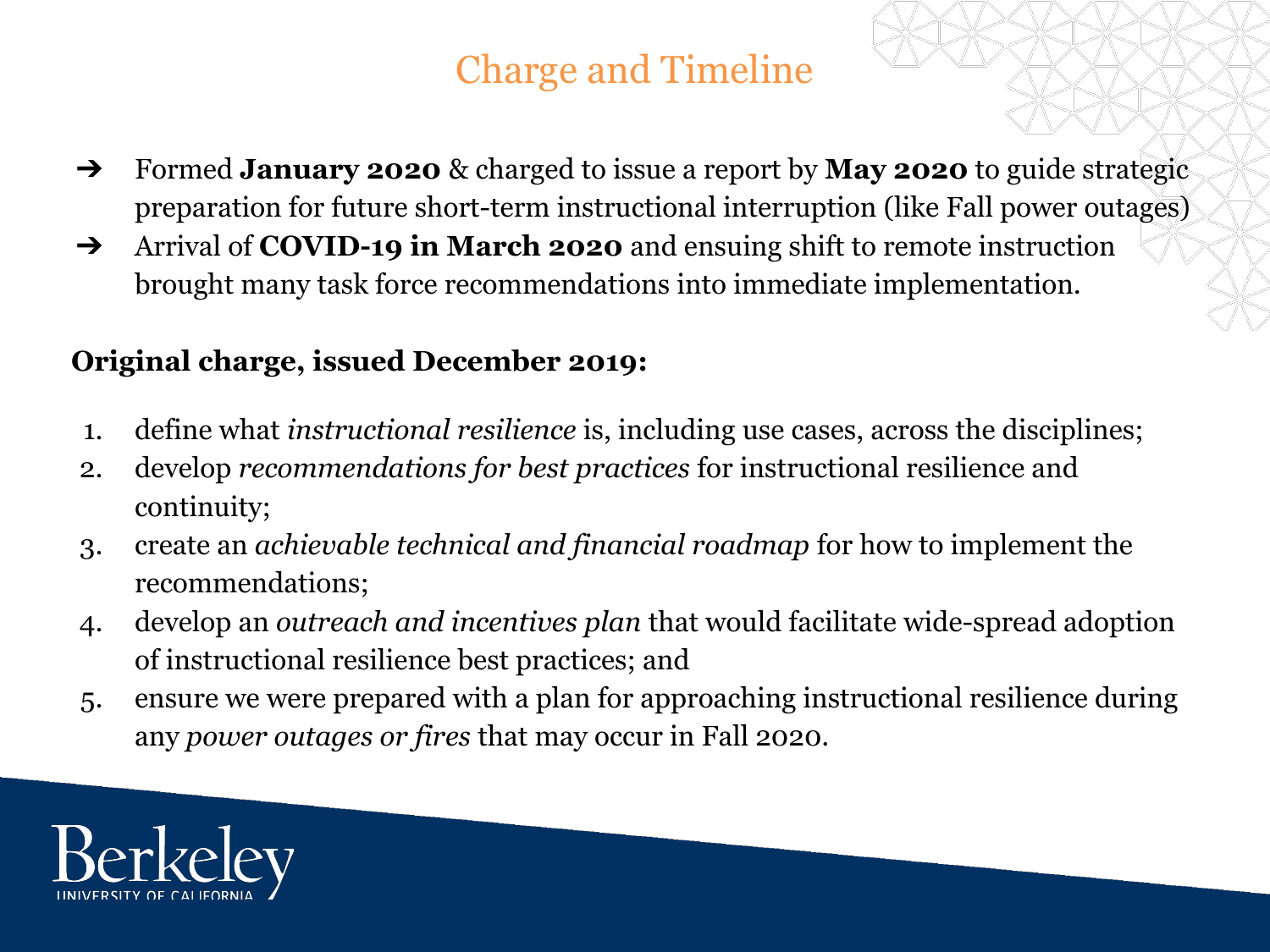## Charge and Timeline

- ➔ Formed **January 2020** & charged to issue a report by **May 2020** to guide strategic preparation for future short-term instructional interruption (like Fall power outages)
- ➔ Arrival of **COVID-19 in March 2020** and ensuing shift to remote instruction brought many task force recommendations into immediate implementation.

#### **Original charge, issued December 2019:**

- 1. define what *instructional resilience* is, including use cases, across the disciplines;
- 2. develop *recommendations for best practices* for instructional resilience and continuity;
- 3. create an *achievable technical and financial roadmap* for how to implement the recommendations;
- 4. develop an *outreach and incentives plan* that would facilitate wide-spread adoption of instructional resilience best practices; and
- 5. ensure we were prepared with a plan for approaching instructional resilience during any *power outages or fires* that may occur in Fall 2020.

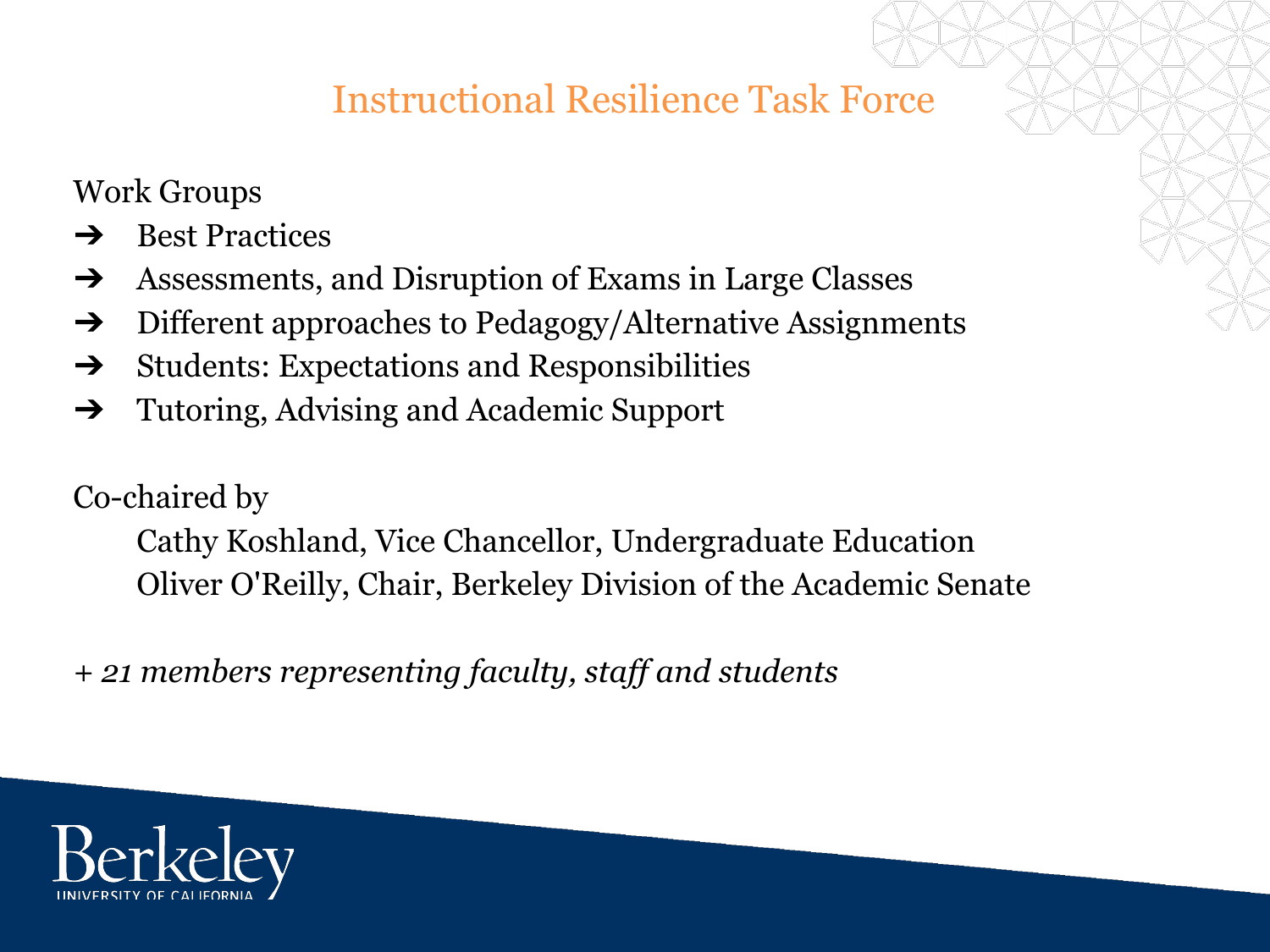## Instructional Resilience Task Force

Work Groups

- **→** Best Practices
- ➔ Assessments, and Disruption of Exams in Large Classes
- ➔ Different approaches to Pedagogy/Alternative Assignments
- $\rightarrow$  Students: Expectations and Responsibilities
- ➔ Tutoring, Advising and Academic Support

Co-chaired by

Cathy Koshland, Vice Chancellor, Undergraduate Education Oliver O'Reilly, Chair, Berkeley Division of the Academic Senate

*+ 21 members representing faculty, staff and students*

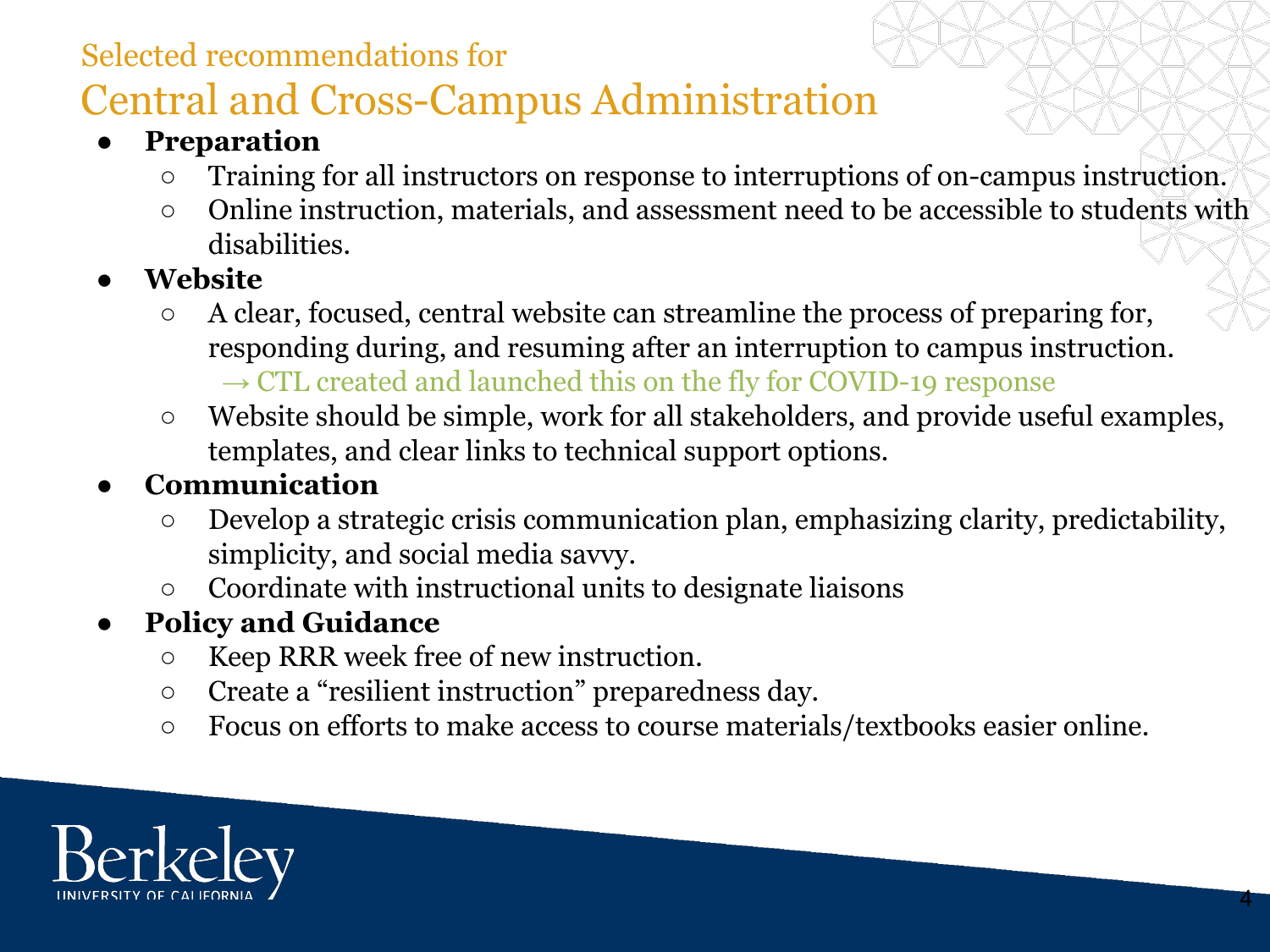#### Selected recommendations for

## Central and Cross-Campus Administration

#### **● Preparation**

- Training for all instructors on response to interruptions of on-campus instruction.
- o Online instruction, materials, and assessment need to be accessible to students with disabilities.
- **● Website**
	- A clear, focused, central website can streamline the process of preparing for, responding during, and resuming after an interruption to campus instruction.  $\rightarrow$  CTL created and launched this on the fly for COVID-19 response
	- Website should be simple, work for all stakeholders, and provide useful examples, templates, and clear links to technical support options.

#### **● Communication**

- Develop a strategic crisis communication plan, emphasizing clarity, predictability, simplicity, and social media savvy.
- Coordinate with instructional units to designate liaisons

#### **● Policy and Guidance**

- Keep RRR week free of new instruction.
- Create a "resilient instruction" preparedness day.
- Focus on efforts to make access to course materials/textbooks easier online.

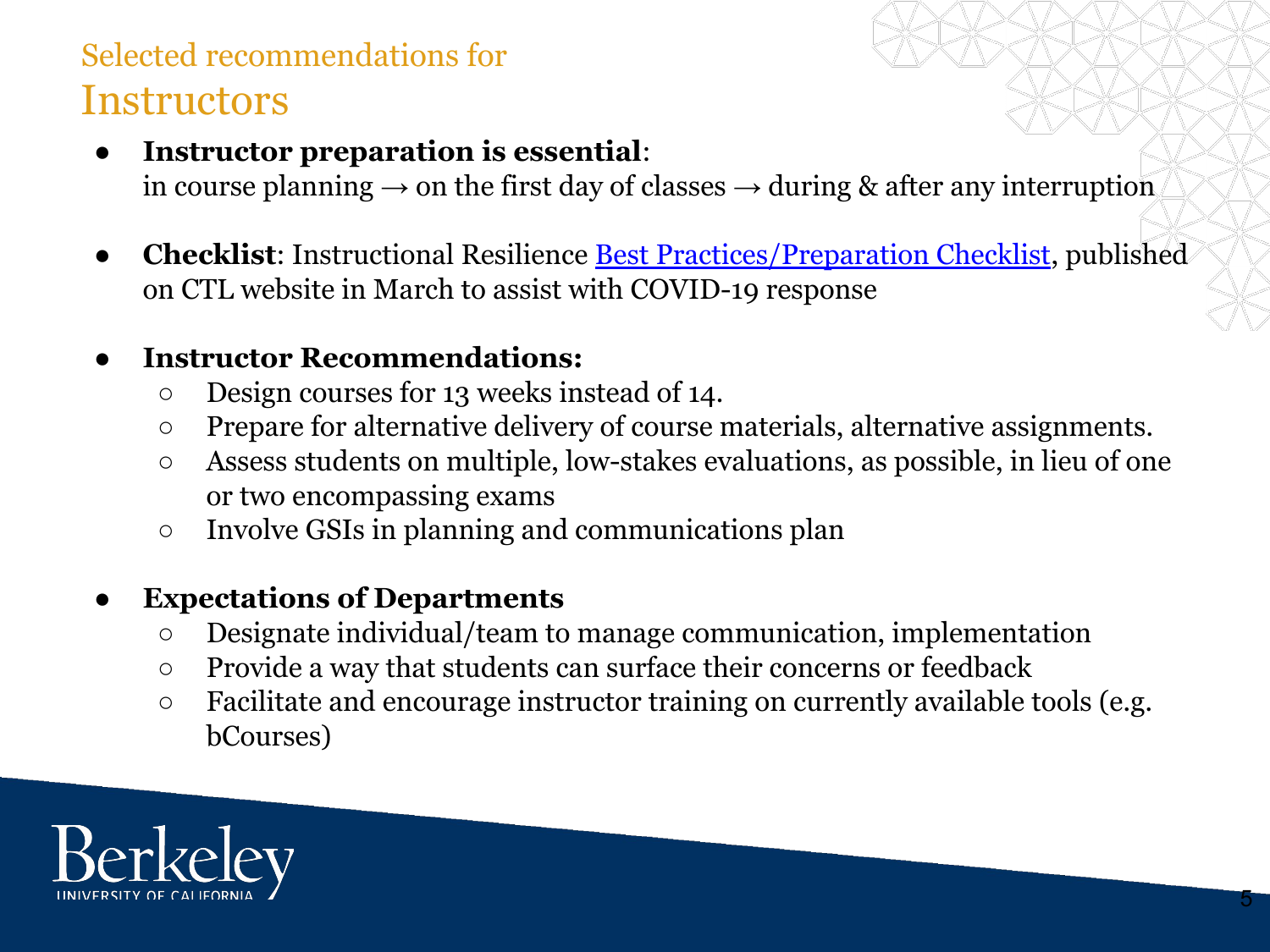## Selected recommendations for **Instructors**

- **Instructor preparation is essential:** in course planning  $\rightarrow$  on the first day of classes  $\rightarrow$  during & after any interruption
- **Checklist:** Instructional Resilience <u>Best Practices/Preparation Checklist</u>, published on CTL website in March to assist with COVID-19 response

#### **● Instructor Recommendations:**

- Design courses for 13 weeks instead of 14.
- Prepare for alternative delivery of course materials, alternative assignments.
- Assess students on multiple, low-stakes evaluations, as possible, in lieu of one or two encompassing exams
- Involve GSIs in planning and communications plan

#### **Expectations of Departments**

- Designate individual/team to manage communication, implementation
- Provide a way that students can surface their concerns or feedback
- Facilitate and encourage instructor training on currently available tools (e.g. bCourses)

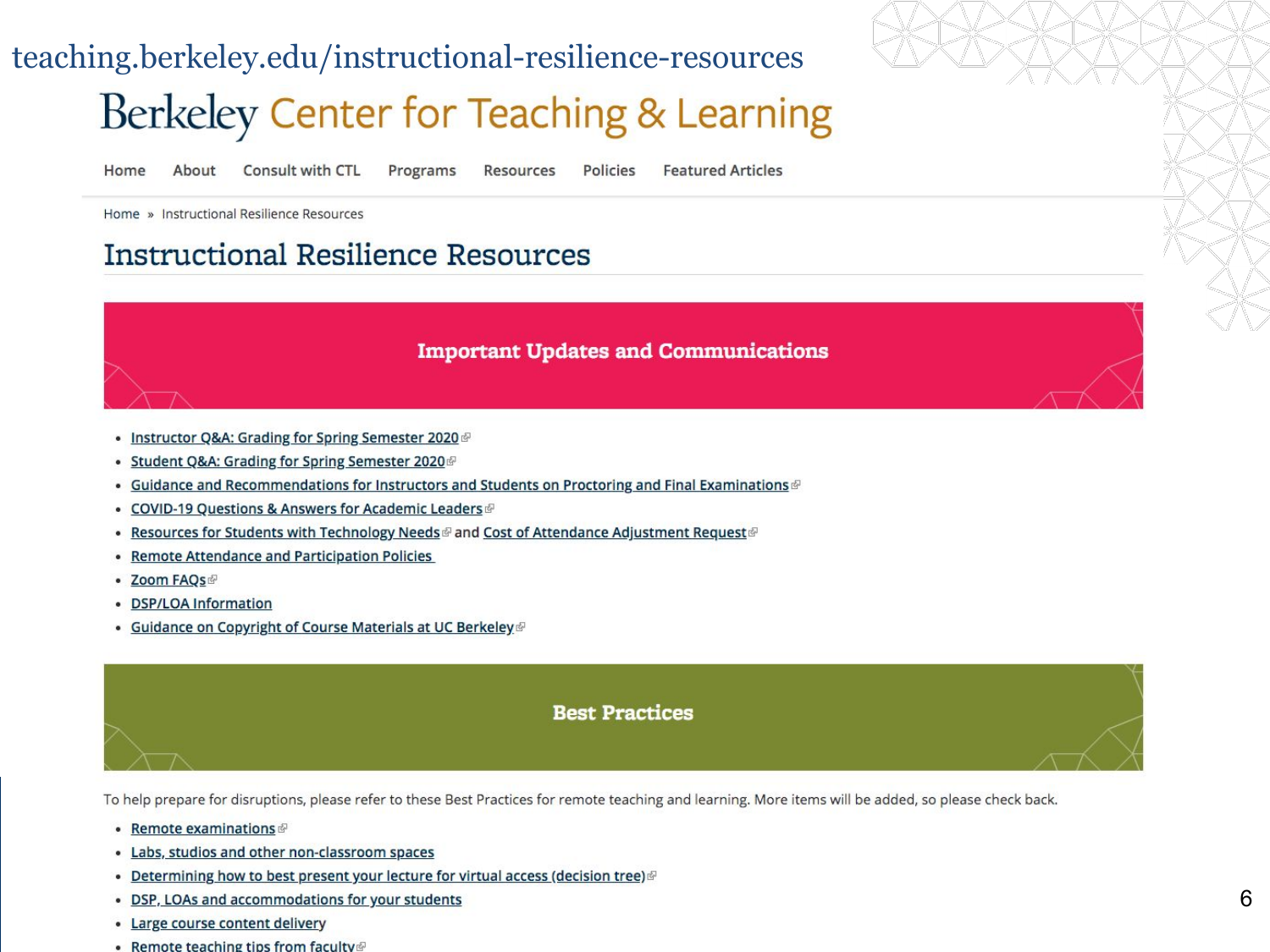## teaching.berkeley.edu/instructional-resilience-resources Berkeley Center for Teaching & Learning

Home About

**Consult with CTL** Programs **Resources** 

**Policies Featured Articles** 

Home » Instructional Resilience Resources

#### **Instructional Resilience Resources**

#### **Important Updates and Communications**

- Instructor Q&A: Grading for Spring Semester 2020
- Student Q&A: Grading for Spring Semester 2020
- . Guidance and Recommendations for Instructors and Students on Proctoring and Final Examinations
- COVID-19 Questions & Answers for Academic Leaders ®
- . Resources for Students with Technology Needs @ and Cost of Attendance Adjustment Request @
- Remote Attendance and Participation Policies
- Zoom FAQs
- DSP/LOA Information
- Guidance on Copyright of Course Materials at UC Berkeley.

# **Best Practices**

To help prepare for disruptions, please refer to these Best Practices for remote teaching and learning. More items will be added, so please check back.

- Remote examinations ®
- Labs, studios and other non-classroom spaces
- Determining how to best present your lecture for virtual access (decision tree)
- DSP, LOAs and accommodations for your students
- Large course content delivery
- Remote teaching tips from faculty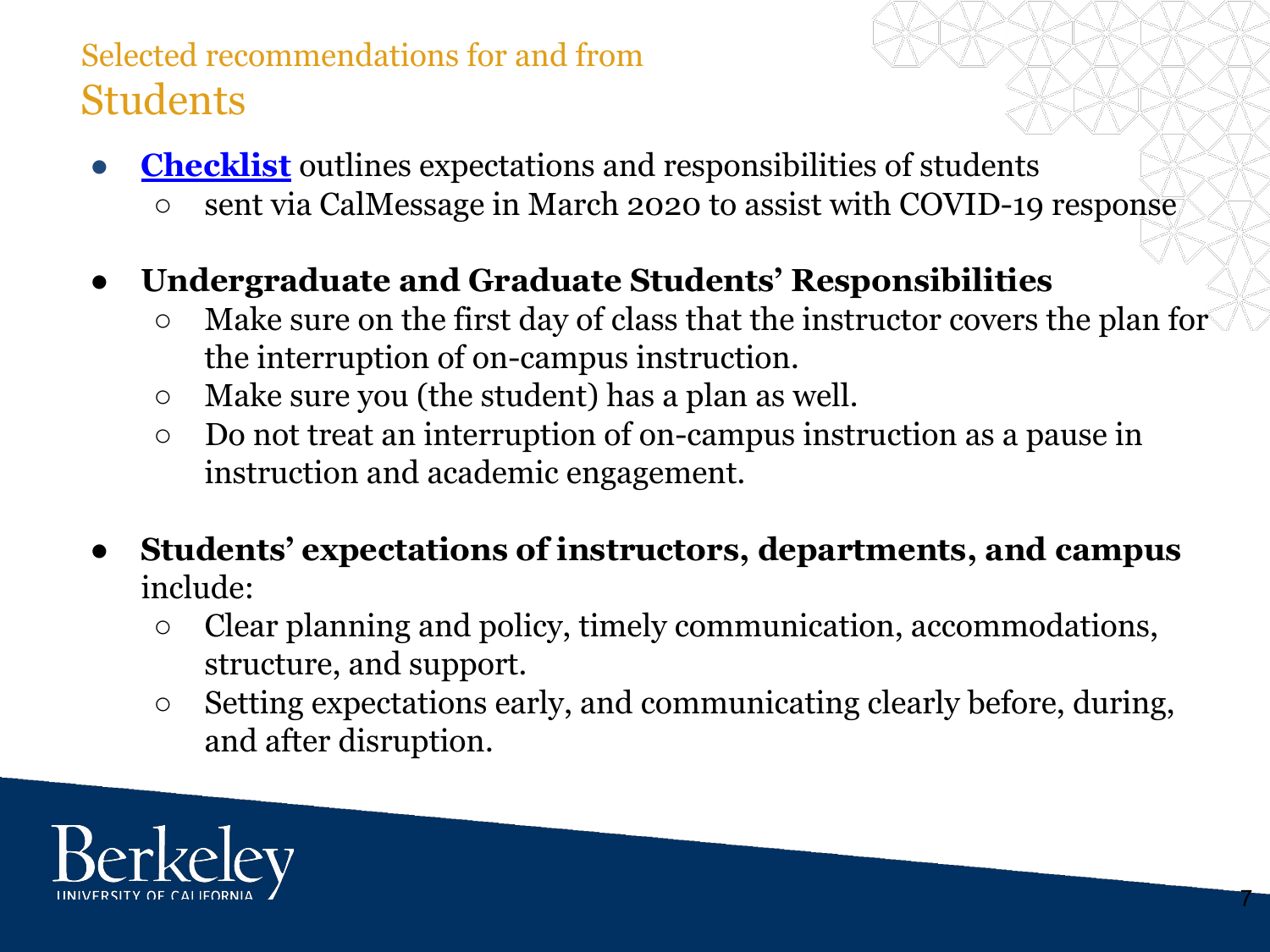## Selected recommendations for and from Students

- **[Checklist](https://docs.google.com/document/d/e/2PACX-1vTaNs2PJJSUPLY_dWzWKzBn2UlR4lE-n2Mtzsk-TQsEmzvPmFFm_PBJCKbgo9S-466VyzMc0wNdcJQM/pub)** outlines expectations and responsibilities of students
	- **○** sent via CalMessage in March 2020 to assist with COVID-19 response
- **● Undergraduate and Graduate Students' Responsibilities**
	- Make sure on the first day of class that the instructor covers the plan for the interruption of on-campus instruction.
	- Make sure you (the student) has a plan as well.
	- Do not treat an interruption of on-campus instruction as a pause in instruction and academic engagement.
- **Students' expectations of instructors, departments, and campus** include:
	- Clear planning and policy, timely communication, accommodations, structure, and support.
	- Setting expectations early, and communicating clearly before, during, and after disruption.

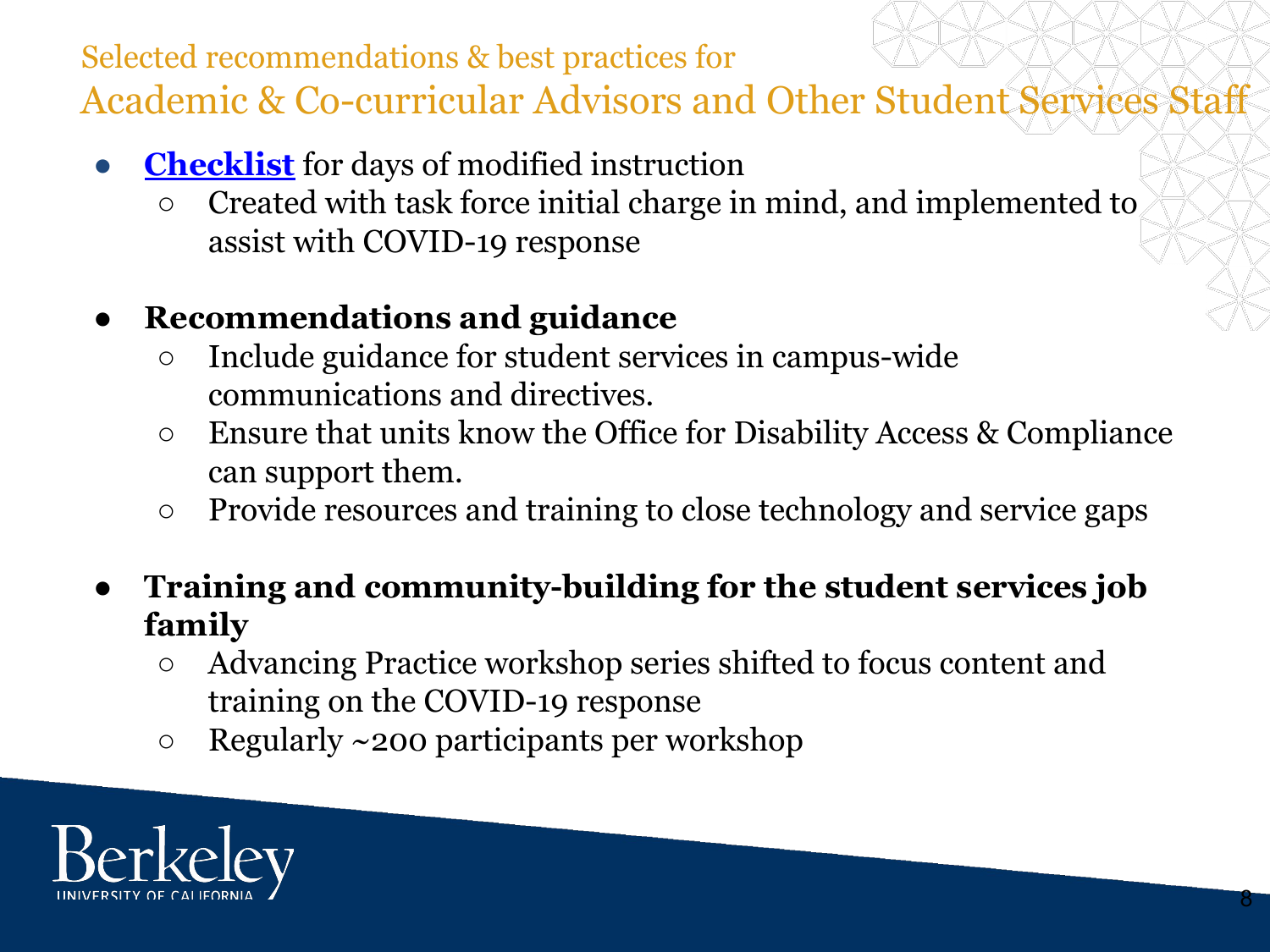## Selected recommendations & best practices for Academic & Co-curricular Advisors and Other Student Services Staff

- **[Checklist](https://docs.google.com/document/d/1XWXSPA0rsFHImqAG7-7BN9y59zNYmbIDrDPy5zimsSU/edit?usp=sharing)** for days of modified instruction
	- **○** Created with task force initial charge in mind, and implemented to assist with COVID-19 response
- **● Recommendations and guidance**
	- Include guidance for student services in campus-wide communications and directives.
	- Ensure that units know the Office for Disability Access & Compliance can support them.
	- Provide resources and training to close technology and service gaps
- **● Training and community-building for the student services job family**
	- Advancing Practice workshop series shifted to focus content and training on the COVID-19 response
	- $\circ$  Regularly ~200 participants per workshop

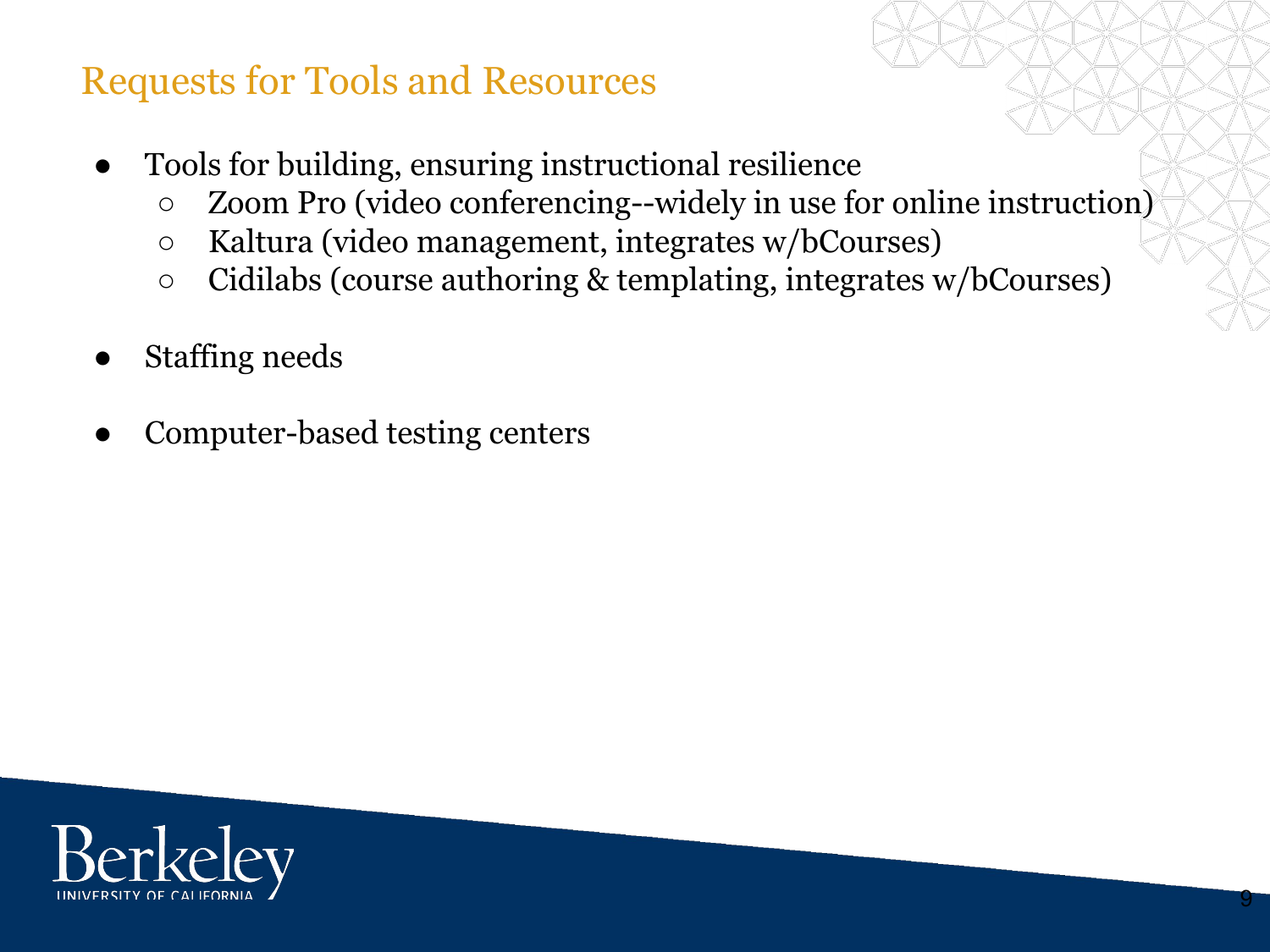## Requests for Tools and Resources

- Tools for building, ensuring instructional resilience
	- Zoom Pro (video conferencing--widely in use for online instruction)
	- Kaltura (video management, integrates w/bCourses)
	- Cidilabs (course authoring & templating, integrates w/bCourses)
- Staffing needs
- Computer-based testing centers

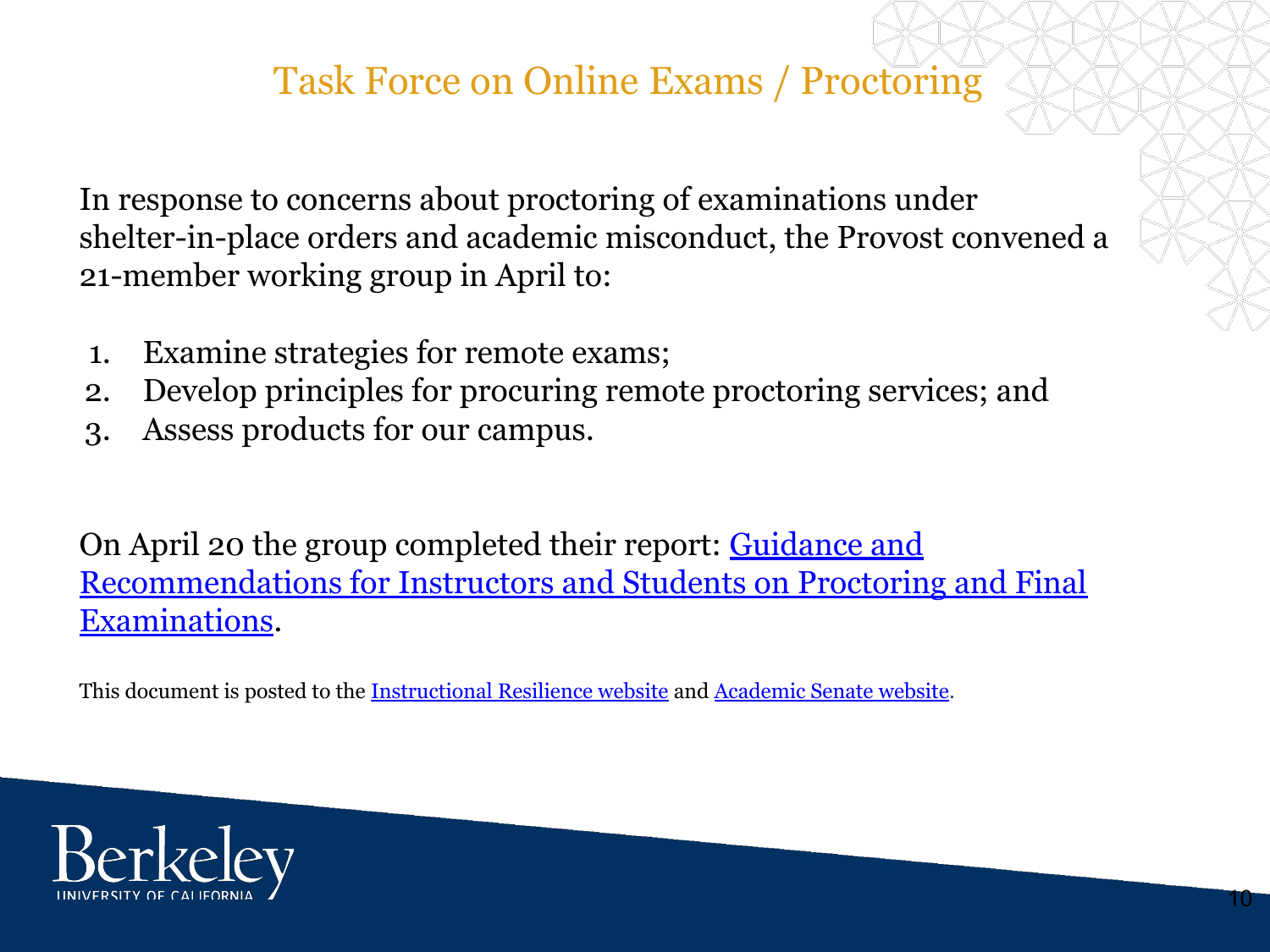## Task Force on Online Exams / Proctoring

In response to concerns about proctoring of examinations under shelter-in-place orders and academic misconduct, the Provost convened a 21-member working group in April to:

- 1. Examine strategies for remote exams;
- 2. Develop principles for procuring remote proctoring services; and
- 3. Assess products for our campus.

On April 20 the group completed their report: **[Guidance and](https://academic-senate.berkeley.edu/sites/default/files/guidance_and_recommendations_from_the_working_group_on_exams_and_proctoring.pdf)** [Recommendations for Instructors and Students on Proctoring and Final](https://academic-senate.berkeley.edu/sites/default/files/guidance_and_recommendations_from_the_working_group_on_exams_and_proctoring.pdf) [Examinations](https://academic-senate.berkeley.edu/sites/default/files/guidance_and_recommendations_from_the_working_group_on_exams_and_proctoring.pdf).

This document is posted to the [Instructional Resilience website](https://teaching.berkeley.edu/instructional-resilience-resources) and [Academic Senate website](https://academic-senate.berkeley.edu/issues/coronavirus).